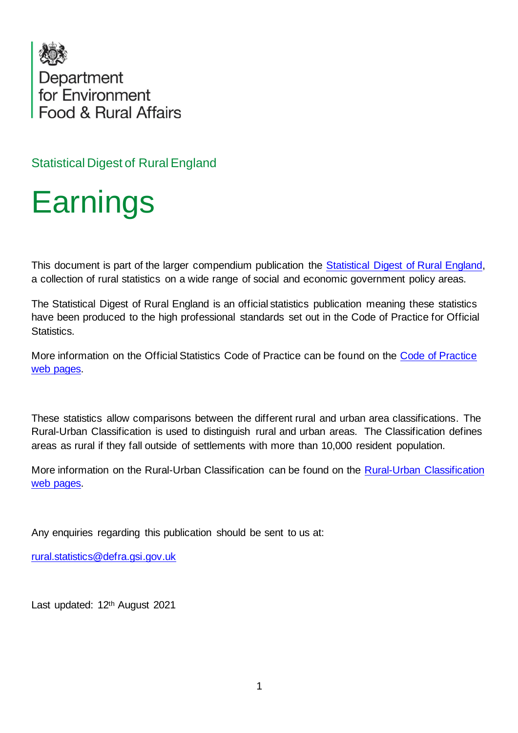

Statistical Digest of Rural England

## **Earnings**

This document is part of the larger compendium publication the [Statistical Digest of Rural England,](https://www.gov.uk/government/statistics/statistical-digest-of-rural-england)  a collection of rural statistics on a wide range of social and economic government policy areas.

The Statistical Digest of Rural England is an official statistics publication meaning these statistics have been produced to the high professional standards set out in the Code of Practice for Official Statistics.

More information on the Official Statistics Code of Practice can be found on the [Code of Practice](https://code.statisticsauthority.gov.uk/)  [web pages.](https://code.statisticsauthority.gov.uk/)

These statistics allow comparisons between the different rural and urban area classifications. The Rural-Urban Classification is used to distinguish rural and urban areas. The Classification defines areas as rural if they fall outside of settlements with more than 10,000 resident population.

More information on the [Rural-Urban Classification](https://code.statisticsauthority.gov.uk/) can be found on the Rural-Urban Classification [web pages.](https://code.statisticsauthority.gov.uk/)

Any enquiries regarding this publication should be sent to us at:

[rural.statistics@defra.gsi.gov.uk](mailto:rural.statistics@defra.gsi.gov.uk)

Last updated: 12th August 2021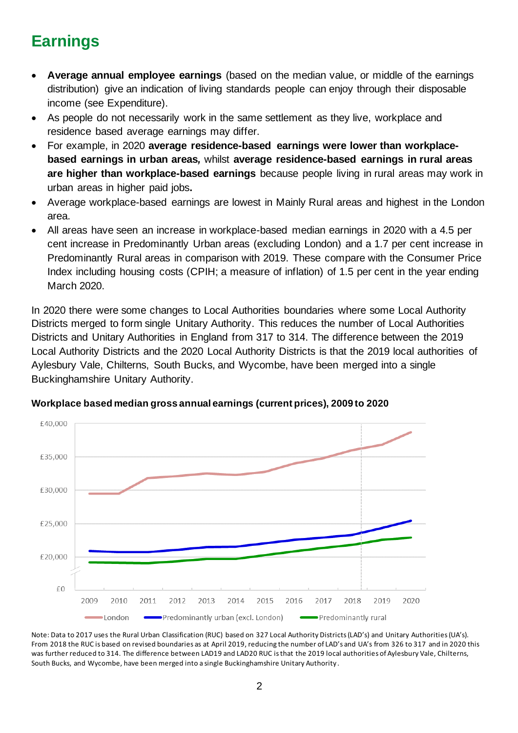## **Earnings**

- **Average annual employee earnings** (based on the median value, or middle of the earnings distribution) give an indication of living standards people can enjoy through their disposable income (see Expenditure).
- As people do not necessarily work in the same settlement as they live, workplace and residence based average earnings may differ.
- For example, in 2020 **average residence-based earnings were lower than workplacebased earnings in urban areas***,* whilst **average residence-based earnings in rural areas are higher than workplace-based earnings** because people living in rural areas may work in urban areas in higher paid jobs**.**
- Average workplace-based earnings are lowest in Mainly Rural areas and highest in the London area.
- All areas have seen an increase in workplace-based median earnings in 2020 with a 4.5 per cent increase in Predominantly Urban areas (excluding London) and a 1.7 per cent increase in Predominantly Rural areas in comparison with 2019. These compare with the Consumer Price Index including housing costs (CPIH; a measure of inflation) of 1.5 per cent in the year ending March 2020.

In 2020 there were some changes to Local Authorities boundaries where some Local Authority Districts merged to form single Unitary Authority. This reduces the number of Local Authorities Districts and Unitary Authorities in England from 317 to 314. The difference between the 2019 Local Authority Districts and the 2020 Local Authority Districts is that the 2019 local authorities of Aylesbury Vale, Chilterns, South Bucks, and Wycombe, have been merged into a single Buckinghamshire Unitary Authority.



**Workplace based median gross annual earnings (current prices), 2009 to 2020**

Note: Data to 2017 uses the Rural Urban Classification (RUC) based on 327 Local Authority Districts (LAD's) and Unitary Authorities (UA's). From 2018 the RUC is based on revised boundaries as at April 2019, reducing the number of LAD's and UA's from 326 to 317 and in 2020 this was further reduced to 314. The difference between LAD19 and LAD20 RUC isthat the 2019 local authorities of Aylesbury Vale, Chilterns, South Bucks, and Wycombe, have been merged into a single Buckinghamshire Unitary Authority .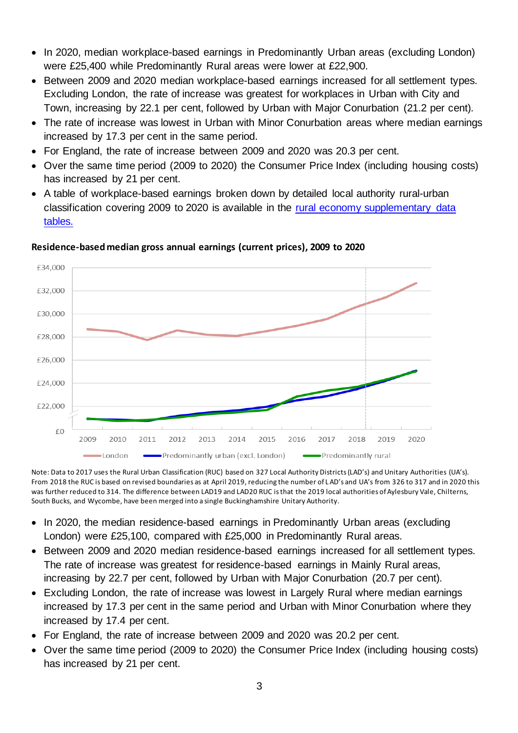- In 2020, median workplace-based earnings in Predominantly Urban areas (excluding London) were £25,400 while Predominantly Rural areas were lower at £22,900.
- Between 2009 and 2020 median workplace-based earnings increased for all settlement types. Excluding London, the rate of increase was greatest for workplaces in Urban with City and Town, increasing by 22.1 per cent, followed by Urban with Major Conurbation (21.2 per cent)*.*
- The rate of increase was lowest in Urban with Minor Conurbation areas where median earnings increased by 17.3 per cent in the same period.
- For England, the rate of increase between 2009 and 2020 was 20.3 per cent.
- Over the same time period (2009 to 2020) the Consumer Price Index (including housing costs) has increased by 21 per cent.
- A table of workplace-based earnings broken down by detailed local authority rural-urban classification covering 2009 to 2020 is available in the [rural economy supplementary data](https://www.gov.uk/government/statistics/statistical-digest-of-rural-england)  [tables.](https://www.gov.uk/government/statistics/statistical-digest-of-rural-england)



## **Residence-based median gross annual earnings (current prices), 2009 to 2020**

Note: Data to 2017 uses the Rural Urban Classification (RUC) based on 327 Local Authority Districts (LAD's) and Unitary Authorities (UA's). From 2018 the RUC is based on revised boundaries as at April 2019, reducing the number of L AD's and UA's from 326 to 317 and in 2020 this was further reduced to 314. The difference between LAD19 and LAD20 RUC isthat the 2019 local authorities of Aylesbury Vale, Chilterns, South Bucks, and Wycombe, have been merged into a single Buckinghamshire Unitary Authority.

- In 2020, the median residence-based earnings in Predominantly Urban areas (excluding London) were £25,100, compared with £25,000 in Predominantly Rural areas.
- Between 2009 and 2020 median residence-based earnings increased for all settlement types. The rate of increase was greatest for residence-based earnings in Mainly Rural areas, increasing by 22.7 per cent, followed by Urban with Major Conurbation (20.7 per cent)*.*
- Excluding London, the rate of increase was lowest in Largely Rural where median earnings increased by 17.3 per cent in the same period and Urban with Minor Conurbation where they increased by 17.4 per cent.
- For England, the rate of increase between 2009 and 2020 was 20.2 per cent.
- Over the same time period (2009 to 2020) the Consumer Price Index (including housing costs) has increased by 21 per cent.